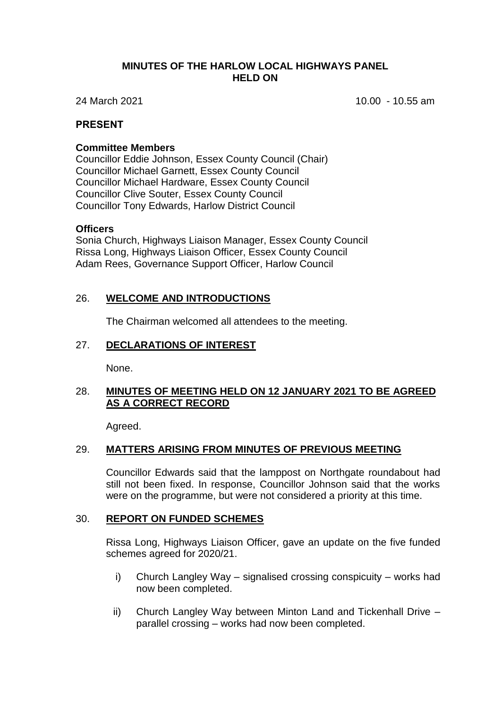### **MINUTES OF THE HARLOW LOCAL HIGHWAYS PANEL HELD ON**

24 March 2021 10.00 - 10.55 am

## **PRESENT**

### **Committee Members**

Councillor Eddie Johnson, Essex County Council (Chair) Councillor Michael Garnett, Essex County Council Councillor Michael Hardware, Essex County Council Councillor Clive Souter, Essex County Council Councillor Tony Edwards, Harlow District Council

### **Officers**

Sonia Church, Highways Liaison Manager, Essex County Council Rissa Long, Highways Liaison Officer, Essex County Council Adam Rees, Governance Support Officer, Harlow Council

# 26. **WELCOME AND INTRODUCTIONS**

The Chairman welcomed all attendees to the meeting.

### 27. **DECLARATIONS OF INTEREST**

None.

# 28. **MINUTES OF MEETING HELD ON 12 JANUARY 2021 TO BE AGREED AS A CORRECT RECORD**

Agreed.

## 29. **MATTERS ARISING FROM MINUTES OF PREVIOUS MEETING**

Councillor Edwards said that the lamppost on Northgate roundabout had still not been fixed. In response, Councillor Johnson said that the works were on the programme, but were not considered a priority at this time.

## 30. **REPORT ON FUNDED SCHEMES**

Rissa Long, Highways Liaison Officer, gave an update on the five funded schemes agreed for 2020/21.

- i) Church Langley Way signalised crossing conspicuity works had now been completed.
- ii) Church Langley Way between Minton Land and Tickenhall Drive parallel crossing – works had now been completed.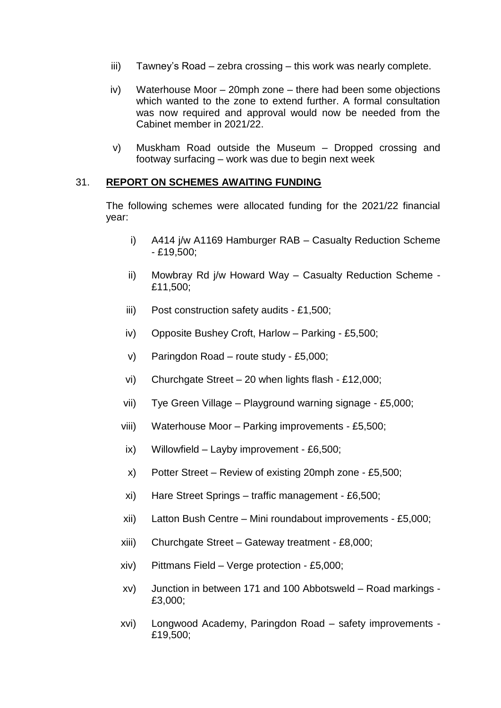- iii) Tawney's Road zebra crossing this work was nearly complete.
- iv) Waterhouse Moor 20mph zone there had been some objections which wanted to the zone to extend further. A formal consultation was now required and approval would now be needed from the Cabinet member in 2021/22.
- v) Muskham Road outside the Museum Dropped crossing and footway surfacing – work was due to begin next week

### 31. **REPORT ON SCHEMES AWAITING FUNDING**

The following schemes were allocated funding for the 2021/22 financial year:

- i) A414 j/w A1169 Hamburger RAB Casualty Reduction Scheme - £19,500;
- ii) Mowbray Rd j/w Howard Way Casualty Reduction Scheme £11,500;
- iii) Post construction safety audits £1,500;
- iv) Opposite Bushey Croft, Harlow Parking £5,500;
- v) Paringdon Road route study £5,000;
- vi) Churchgate Street 20 when lights flash £12,000;
- vii) Tye Green Village Playground warning signage £5,000;
- viii) Waterhouse Moor Parking improvements £5,500;
- ix) Willowfield Layby improvement £6,500;
- x) Potter Street Review of existing 20mph zone £5,500;
- xi) Hare Street Springs traffic management £6,500;
- xii) Latton Bush Centre Mini roundabout improvements £5,000;
- xiii) Churchgate Street Gateway treatment £8,000;
- xiv) Pittmans Field Verge protection £5,000;
- xv) Junction in between 171 and 100 Abbotsweld Road markings £3,000;
- xvi) Longwood Academy, Paringdon Road safety improvements £19,500;